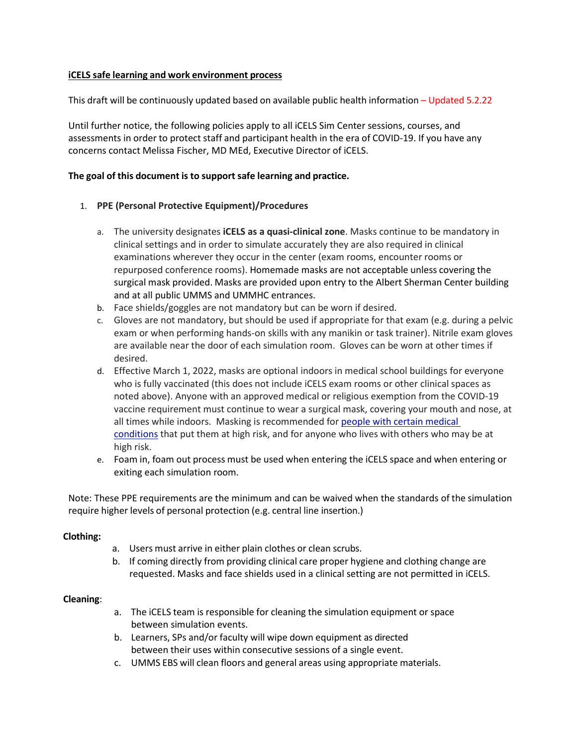# **iCELS safe learning and work environment process**

This draft will be continuously updated based on available public health information – Updated 5.2.22

Until further notice, the following policies apply to all iCELS Sim Center sessions, courses, and assessments in order to protect staff and participant health in the era of COVID-19. If you have any concerns contact Melissa Fischer, MD MEd, Executive Director of iCELS.

## **The goal of this document is to support safe learning and practice.**

### 1. **PPE (Personal Protective Equipment)/Procedures**

- a. The university designates **iCELS as a quasi-clinical zone**. Masks continue to be mandatory in clinical settings and in order to simulate accurately they are also required in clinical examinations wherever they occur in the center (exam rooms, encounter rooms or repurposed conference rooms). Homemade masks are not acceptable unless covering the surgical mask provided. Masks are provided upon entry to the Albert Sherman Center building and at all public UMMS and UMMHC entrances.
- b. Face shields/goggles are not mandatory but can be worn if desired.
- c. Gloves are not mandatory, but should be used if appropriate for that exam (e.g. during a pelvic exam or when performing hands-on skills with any manikin or task trainer). Nitrile exam gloves are available near the door of each simulation room. Gloves can be worn at other times if desired.
- d. Effective March 1, 2022, masks are optional indoors in medical school buildings for everyone who is fully vaccinated (this does not include iCELS exam rooms or other clinical spaces as noted above). Anyone with an approved medical or religious exemption from the COVID-19 vaccine requirement must continue to wear a surgical mask, covering your mouth and nose, at all times while indoors. Masking is recommended for [people with certain medical](https://www.cdc.gov/coronavirus/2019-ncov/need-extra-precautions/people-with-medical-conditions.html)  [conditions](https://www.cdc.gov/coronavirus/2019-ncov/need-extra-precautions/people-with-medical-conditions.html) that put them at high risk, and for anyone who lives with others who may be at high risk.
- e. Foam in, foam out process must be used when entering the iCELS space and when entering or exiting each simulation room.

Note: These PPE requirements are the minimum and can be waived when the standards of the simulation require higher levels of personal protection (e.g. central line insertion.)

### **Clothing:**

- a. Users must arrive in either plain clothes or clean scrubs.
- b. If coming directly from providing clinical care proper hygiene and clothing change are requested. Masks and face shields used in a clinical setting are not permitted in iCELS.

### **Cleaning**:

- a. The iCELS team is responsible for cleaning the simulation equipment or space between simulation events.
- b. Learners, SPs and/or faculty will wipe down equipment as directed between their uses within consecutive sessions of a single event.
- c. UMMS EBS will clean floors and general areas using appropriate materials.